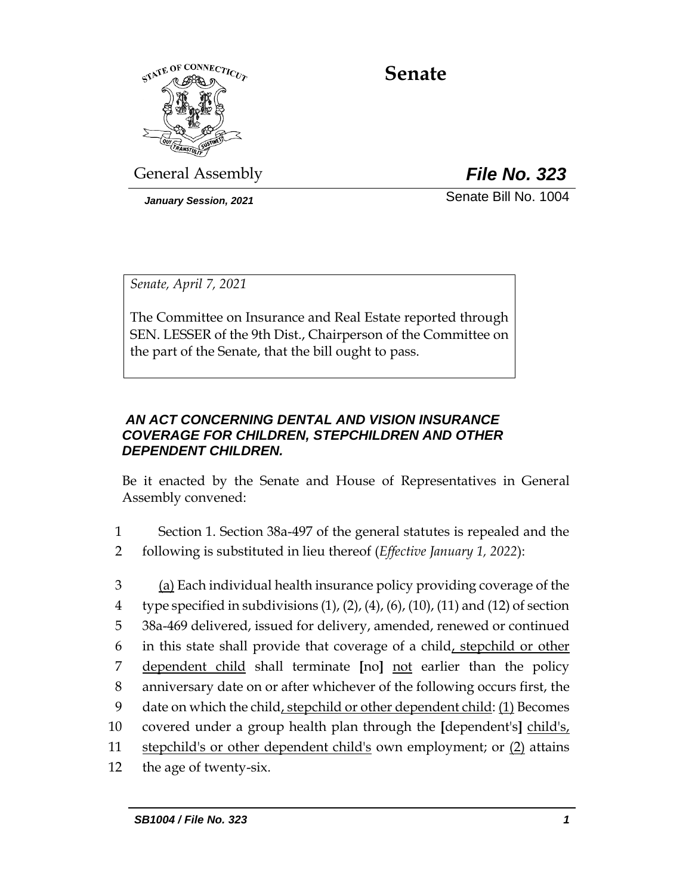

# **Senate**

General Assembly *File No. 323*

*January Session, 2021* Senate Bill No. 1004

*Senate, April 7, 2021*

The Committee on Insurance and Real Estate reported through SEN. LESSER of the 9th Dist., Chairperson of the Committee on the part of the Senate, that the bill ought to pass.

## *AN ACT CONCERNING DENTAL AND VISION INSURANCE COVERAGE FOR CHILDREN, STEPCHILDREN AND OTHER DEPENDENT CHILDREN.*

Be it enacted by the Senate and House of Representatives in General Assembly convened:

- 1 Section 1. Section 38a-497 of the general statutes is repealed and the
- 2 following is substituted in lieu thereof (*Effective January 1, 2022*):
- 3 (a) Each individual health insurance policy providing coverage of the 4 type specified in subdivisions  $(1)$ ,  $(2)$ ,  $(4)$ ,  $(6)$ ,  $(10)$ ,  $(11)$  and  $(12)$  of section 5 38a-469 delivered, issued for delivery, amended, renewed or continued 6 in this state shall provide that coverage of a child, stepchild or other 7 dependent child shall terminate **[**no**]** not earlier than the policy 8 anniversary date on or after whichever of the following occurs first, the 9 date on which the child, stepchild or other dependent child: (1) Becomes 10 covered under a group health plan through the **[**dependent's**]** child's, 11 stepchild's or other dependent child's own employment; or (2) attains 12 the age of twenty-six.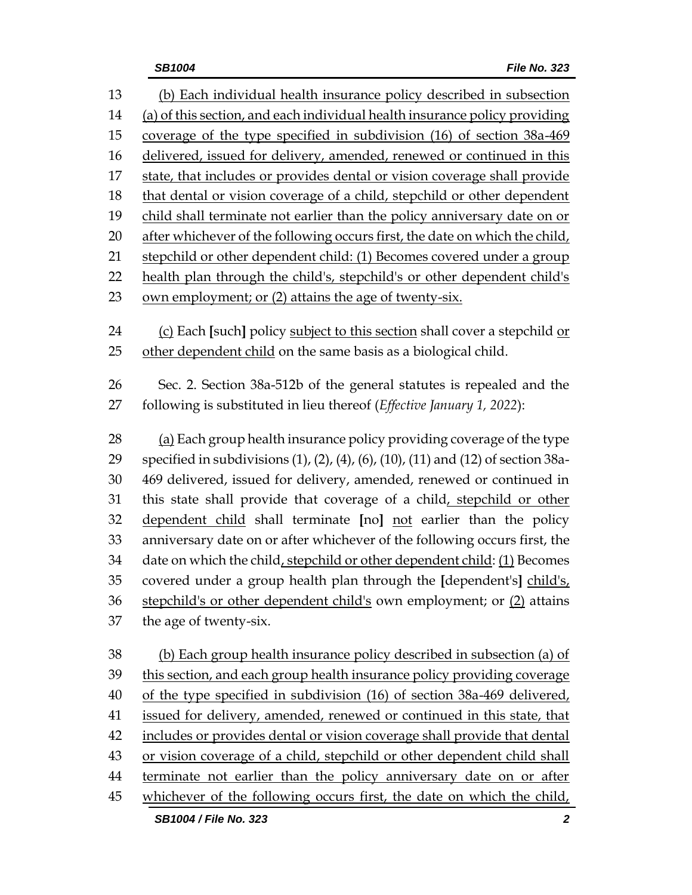| 13 | (b) Each individual health insurance policy described in subsection               |
|----|-----------------------------------------------------------------------------------|
| 14 | (a) of this section, and each individual health insurance policy providing        |
| 15 | coverage of the type specified in subdivision (16) of section 38a-469             |
| 16 | delivered, issued for delivery, amended, renewed or continued in this             |
| 17 | state, that includes or provides dental or vision coverage shall provide          |
| 18 | that dental or vision coverage of a child, stepchild or other dependent           |
| 19 | child shall terminate not earlier than the policy anniversary date on or          |
| 20 | after whichever of the following occurs first, the date on which the child,       |
| 21 | stepchild or other dependent child: (1) Becomes covered under a group             |
| 22 | health plan through the child's, stepchild's or other dependent child's           |
| 23 | own employment; or (2) attains the age of twenty-six.                             |
| 24 | (c) Each [such] policy subject to this section shall cover a stepchild or         |
| 25 | other dependent child on the same basis as a biological child.                    |
| 26 | Sec. 2. Section 38a-512b of the general statutes is repealed and the              |
| 27 | following is substituted in lieu thereof (Effective January 1, 2022):             |
| 28 | (a) Each group health insurance policy providing coverage of the type             |
| 29 | specified in subdivisions (1), (2), (4), (6), (10), (11) and (12) of section 38a- |
| 30 | 469 delivered, issued for delivery, amended, renewed or continued in              |
| 31 | this state shall provide that coverage of a child, stepchild or other             |
| 32 | dependent child shall terminate [no] not earlier than the policy                  |
| 33 | anniversary date on or after whichever of the following occurs first, the         |
| 34 | date on which the child, stepchild or other dependent child: (1) Becomes          |
| 35 | covered under a group health plan through the [dependent's] child's,              |
| 36 | stepchild's or other dependent child's own employment; or (2) attains             |
| 37 | the age of twenty-six.                                                            |
| 38 | (b) Each group health insurance policy described in subsection (a) of             |
| 39 | this section, and each group health insurance policy providing coverage           |
| 40 | of the type specified in subdivision (16) of section 38a-469 delivered,           |
| 41 | issued for delivery, amended, renewed or continued in this state, that            |
| 42 | includes or provides dental or vision coverage shall provide that dental          |
| 43 | or vision coverage of a child, stepchild or other dependent child shall           |
| 44 | terminate not earlier than the policy anniversary date on or after                |
| 45 | whichever of the following occurs first, the date on which the child,             |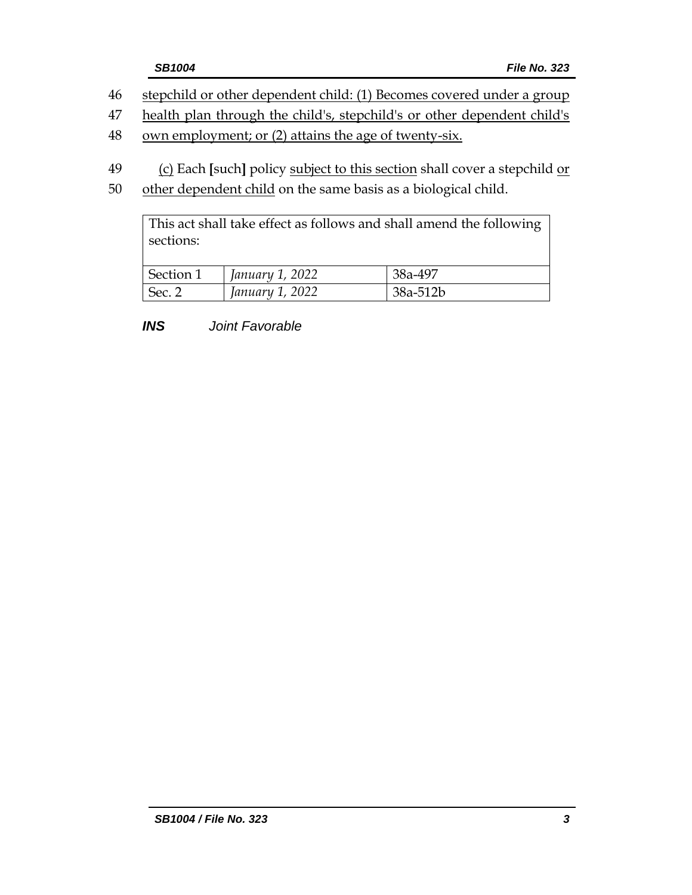|    | <b>SB1004</b>                                                         | <b>File No. 323</b> |
|----|-----------------------------------------------------------------------|---------------------|
| 46 | stepchild or other dependent child: (1) Becomes covered under a group |                     |

47 health plan through the child's, stepchild's or other dependent child's

- 48 own employment; or (2) attains the age of twenty-six.
- 49 (c) Each **[**such**]** policy subject to this section shall cover a stepchild or
- 50 other dependent child on the same basis as a biological child.

This act shall take effect as follows and shall amend the following sections:

| Section 1 | January 1, 2022 | 38a-497  |
|-----------|-----------------|----------|
| Sec. 2    | January 1, 2022 | 38a-512b |

*INS Joint Favorable*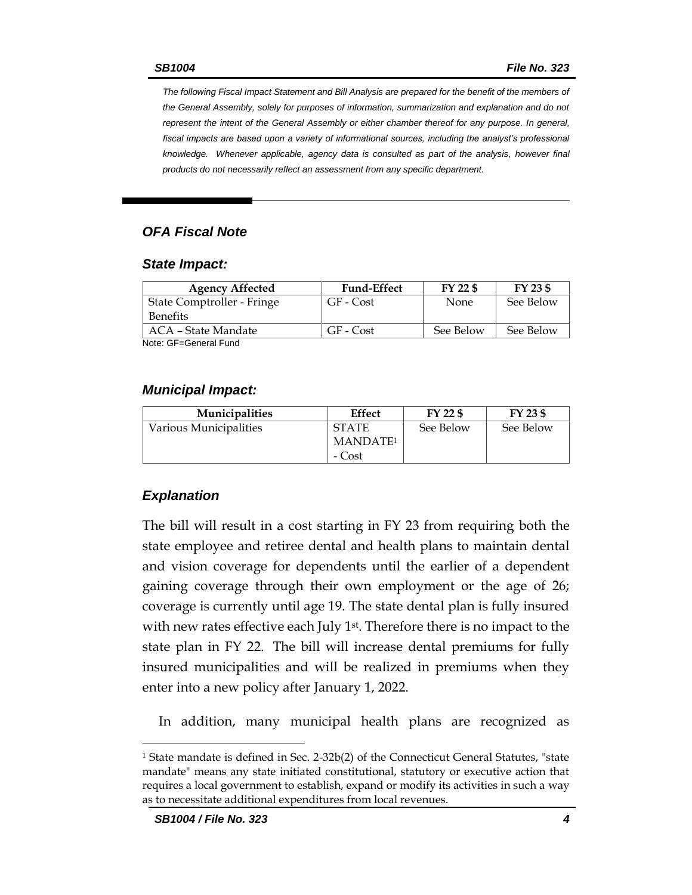*The following Fiscal Impact Statement and Bill Analysis are prepared for the benefit of the members of the General Assembly, solely for purposes of information, summarization and explanation and do not represent the intent of the General Assembly or either chamber thereof for any purpose. In general,*  fiscal impacts are based upon a variety of informational sources, including the analyst's professional *knowledge. Whenever applicable, agency data is consulted as part of the analysis, however final products do not necessarily reflect an assessment from any specific department.*

## *OFA Fiscal Note*

#### *State Impact:*

| <b>Agency Affected</b>     | <b>Fund-Effect</b> | FY 22 \$    | FY 23 \$  |
|----------------------------|--------------------|-------------|-----------|
| State Comptroller - Fringe | GF - Cost          | <b>None</b> | See Below |
| <b>Benefits</b>            |                    |             |           |
| ACA – State Mandate        | GF - Cost          | See Below   | See Below |
| Noto: CE-Conoral Eund      |                    |             |           |

Note: GF=General Fund

## *Municipal Impact:*

| <b>Municipalities</b>  | Effect               | FY 22 \$  | FY 23 \$  |
|------------------------|----------------------|-----------|-----------|
| Various Municipalities | <b>STATE</b>         | See Below | See Below |
|                        | MANDATE <sup>1</sup> |           |           |
|                        | - Cost               |           |           |

## *Explanation*

The bill will result in a cost starting in FY 23 from requiring both the state employee and retiree dental and health plans to maintain dental and vision coverage for dependents until the earlier of a dependent gaining coverage through their own employment or the age of 26; coverage is currently until age 19. The state dental plan is fully insured with new rates effective each July 1<sup>st</sup>. Therefore there is no impact to the state plan in FY 22. The bill will increase dental premiums for fully insured municipalities and will be realized in premiums when they enter into a new policy after January 1, 2022.

In addition, many municipal health plans are recognized as

 $\overline{a}$ 

<sup>1</sup> State mandate is defined in Sec. 2-32b(2) of the Connecticut General Statutes, "state mandate" means any state initiated constitutional, statutory or executive action that requires a local government to establish, expand or modify its activities in such a way as to necessitate additional expenditures from local revenues.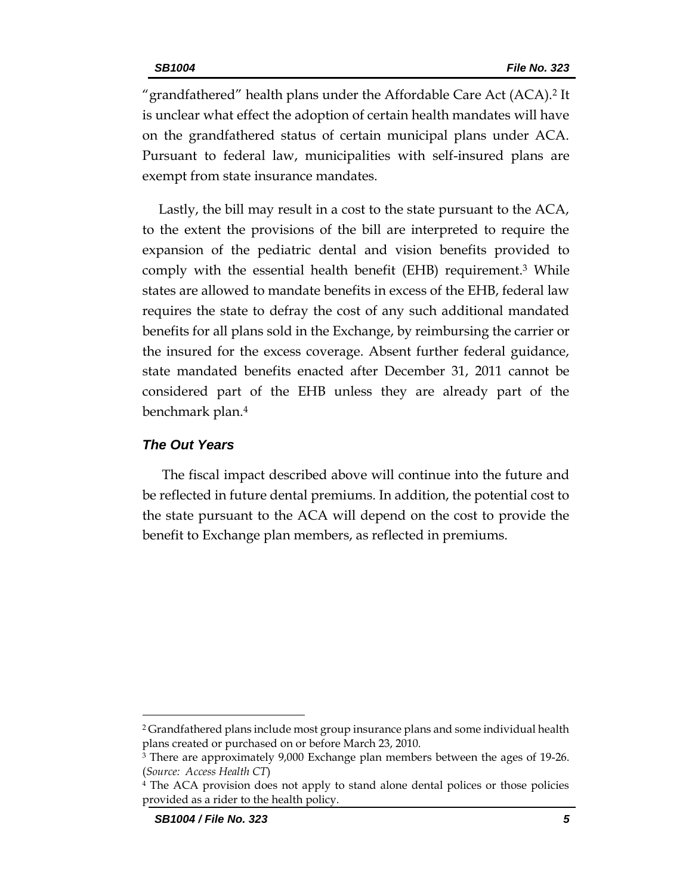"grandfathered" health plans under the Affordable Care Act (ACA).<sup>2</sup> It is unclear what effect the adoption of certain health mandates will have on the grandfathered status of certain municipal plans under ACA. Pursuant to federal law, municipalities with self-insured plans are exempt from state insurance mandates.

Lastly, the bill may result in a cost to the state pursuant to the ACA, to the extent the provisions of the bill are interpreted to require the expansion of the pediatric dental and vision benefits provided to comply with the essential health benefit (EHB) requirement.<sup>3</sup> While states are allowed to mandate benefits in excess of the EHB, federal law requires the state to defray the cost of any such additional mandated benefits for all plans sold in the Exchange, by reimbursing the carrier or the insured for the excess coverage. Absent further federal guidance, state mandated benefits enacted after December 31, 2011 cannot be considered part of the EHB unless they are already part of the benchmark plan.<sup>4</sup>

## *The Out Years*

The fiscal impact described above will continue into the future and be reflected in future dental premiums. In addition, the potential cost to the state pursuant to the ACA will depend on the cost to provide the benefit to Exchange plan members, as reflected in premiums.

 $\overline{a}$ 

<sup>2</sup> Grandfathered plans include most group insurance plans and some individual health plans created or purchased on or before March 23, 2010.

<sup>3</sup> There are approximately 9,000 Exchange plan members between the ages of 19-26. (*Source: Access Health CT*)

<sup>4</sup> The ACA provision does not apply to stand alone dental polices or those policies provided as a rider to the health policy.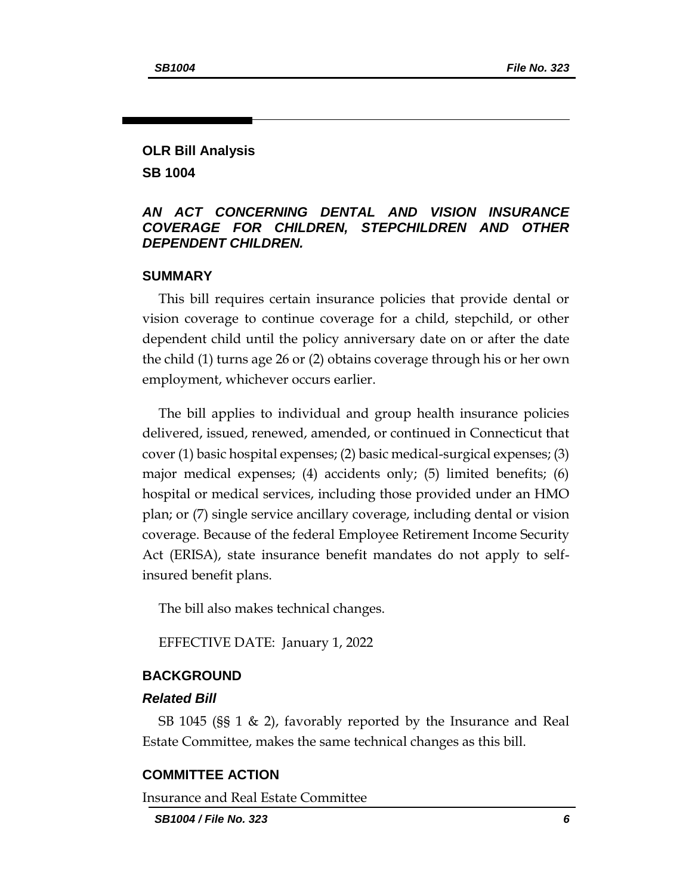## **OLR Bill Analysis SB 1004**

## *AN ACT CONCERNING DENTAL AND VISION INSURANCE COVERAGE FOR CHILDREN, STEPCHILDREN AND OTHER DEPENDENT CHILDREN.*

### **SUMMARY**

This bill requires certain insurance policies that provide dental or vision coverage to continue coverage for a child, stepchild, or other dependent child until the policy anniversary date on or after the date the child (1) turns age 26 or (2) obtains coverage through his or her own employment, whichever occurs earlier.

The bill applies to individual and group health insurance policies delivered, issued, renewed, amended, or continued in Connecticut that cover (1) basic hospital expenses; (2) basic medical-surgical expenses; (3) major medical expenses; (4) accidents only; (5) limited benefits; (6) hospital or medical services, including those provided under an HMO plan; or (7) single service ancillary coverage, including dental or vision coverage. Because of the federal Employee Retirement Income Security Act (ERISA), state insurance benefit mandates do not apply to selfinsured benefit plans.

The bill also makes technical changes.

EFFECTIVE DATE: January 1, 2022

## **BACKGROUND**

### *Related Bill*

SB 1045 (§§ 1 & 2), favorably reported by the Insurance and Real Estate Committee, makes the same technical changes as this bill.

#### **COMMITTEE ACTION**

Insurance and Real Estate Committee

*SB1004 / File No. 323 6*